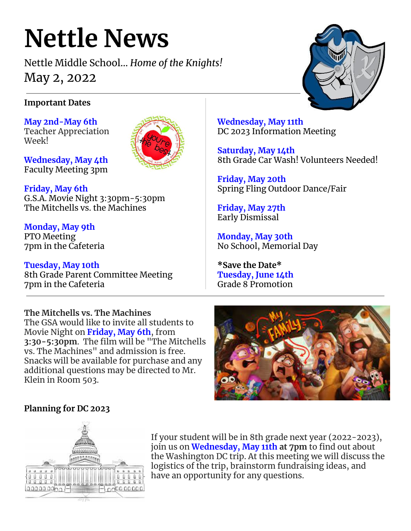# **Nettle News**

Nettle Middle School… *Home of the Knights!* May 2, 2022



# **Important Dates**

**May 2nd-May 6th** Teacher Appreciation Week!

**Wednesday, May 4th** Faculty Meeting 3pm

**Friday, May 6th** G.S.A. Movie Night 3:30pm-5:30pm The Mitchells vs. the Machines

**Monday, May 9th** PTO Meeting 7pm in the Cafeteria

**Tuesday, May 10th** 8th Grade Parent Committee Meeting 7pm in the Cafeteria

**Wednesday, May 11th** DC 2023 Information Meeting

**Saturday, May 14th** 8th Grade Car Wash! Volunteers Needed!

**Friday, May 20th** Spring Fling Outdoor Dance/Fair

**Friday, May 27th** Early Dismissal

**Monday, May 30th** No School, Memorial Day

**\*Save the Date\* Tuesday, June 14th** Grade 8 Promotion

**The Mitchells vs. The Machines** The GSA would like to invite all students to Movie Night on **Friday, May 6th**, from **3:30-5:30pm**. The film will be "The Mitchells vs. The Machines" and admission is free. Snacks will be available for purchase and any additional questions may be directed to Mr. Klein in Room 503.



# **Planning for DC 2023**



If your student will be in 8th grade next year (2022-2023), join us on **Wednesday, May 11th at 7pm** to find out about the Washington DC trip. At this meeting we will discuss the logistics of the trip, brainstorm fundraising ideas, and have an opportunity for any questions.